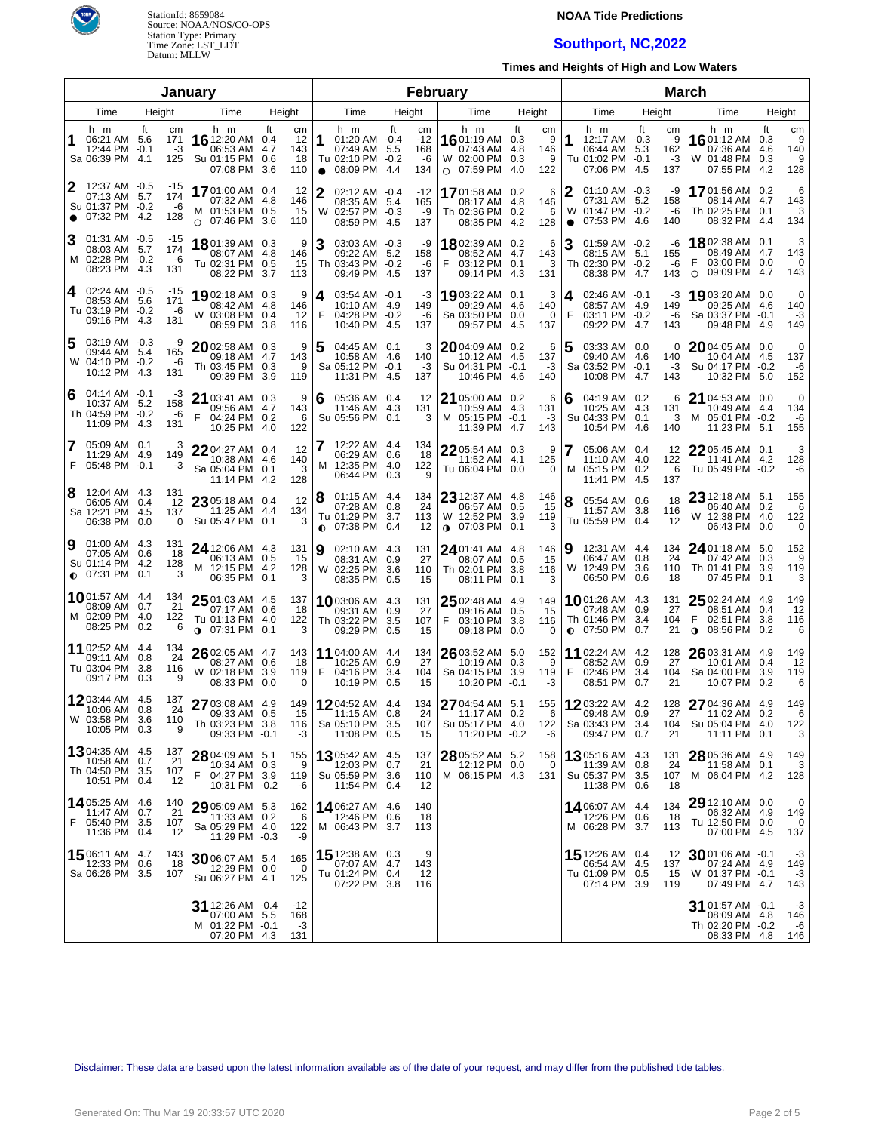

## **NOAA Tide Predictions**

# **Southport, NC,2022**

**Times and Heights of High and Low Waters**

| January        |                                                                               |              |                           |                                                                       |                                                         |        | February                                                                          |           |                                 |                                                                                 |                                      |               |                                                                                   |                                                   | <b>March</b>                                                         |                                |                            |
|----------------|-------------------------------------------------------------------------------|--------------|---------------------------|-----------------------------------------------------------------------|---------------------------------------------------------|--------|-----------------------------------------------------------------------------------|-----------|---------------------------------|---------------------------------------------------------------------------------|--------------------------------------|---------------|-----------------------------------------------------------------------------------|---------------------------------------------------|----------------------------------------------------------------------|--------------------------------|----------------------------|
| Time<br>Height |                                                                               |              |                           | Time                                                                  | Height                                                  |        | Time                                                                              |           | Height                          | Time                                                                            | Height                               |               | Time                                                                              | Height                                            | Time                                                                 | Height                         |                            |
| 1              | h m<br>06:21 AM 5.6<br>12:44 PM -0.1<br>Sa 06:39 PM 4.1                       | ft           | cm<br>171<br>-3<br>125    | h m<br>16 12:20 AM 0.4<br>06:53 AM<br>Su 01:15 PM<br>07:08 PM         | ft<br>cm<br>12<br>143<br>4.7<br>18<br>0.6<br>3.6<br>110 | 1      | h m<br>01:20 AM -0.4<br>07:49 AM 5.5<br>Tu 02:10 PM -0.2<br>08:09 PM<br>$\bullet$ | ft<br>4.4 | cm<br>$-12$<br>168<br>-6<br>134 | h m<br><b>16</b> 01:19 AM 0.3<br>07:43 AM<br>W 02:00 PM 0.3<br>$\circ$ 07:59 PM | ft<br>cm<br>4.8<br>146<br>4.0<br>122 | 9<br>9        | h m<br>1<br>12:17 AM -0.3<br>06:44 AM<br>Tu 01:02 PM -0.1<br>07:06 PM             | ft<br>cm<br>-9<br>162<br>5.3<br>-3<br>-4.5<br>137 | h m<br>1601:12 AM<br>07:36 AM<br>W 01:48 PM<br>07:55 PM              | ft<br>0.3<br>4.6<br>0.3<br>4.2 | cm<br>9<br>140<br>9<br>128 |
| 2              | 12:37 AM -0.5<br>07:13 AM 5.7<br>Su 01:37 PM -0.2<br>07:32 PM                 | -4.2         | $-15$<br>174<br>-6<br>128 | 1701:00 AM<br>07:32 AM<br>M 01:53 PM<br>$\circ$ 07:46 PM              | 0.4<br>12<br>4.8<br>146<br>0.5<br>15<br>3.6<br>110      | 2      | $02:12$ AM $-0.4$<br>08:35 AM 5.4<br>W 02:57 PM -0.3<br>08:59 PM 4.5              |           | $-12$<br>165<br>-9<br>137       | 1701:58 AM 0.2<br>08:17 AM 4.8<br>Th 02:36 PM 0.2<br>08:35 PM                   | 146<br>128<br>4.2                    | 6<br>6        | 2<br>$01:10$ AM $-0.3$<br>07:31 AM<br>W<br>01:47 PM -0.2<br>07:53 PM<br>$\bullet$ | -9<br>5.2<br>158<br>-6<br>-4.6<br>140             | 1701:56 AM 0.2<br>08:14 AM 4.7<br>Th 02:25 PM 0.1<br>08:32 PM 4.4    |                                | 6<br>143<br>3<br>134       |
| 3              | $01:31$ AM $-0.5$<br>08:03 AM 5.7<br>M 02:28 PM -0.2<br>08:23 PM 4.3          |              | -15<br>174<br>-6<br>131   | 1801:39 AM<br>08:07 AM<br>Tu 02:31 PM<br>08:22 PM                     | 9<br>0.3<br>-4.8<br>146<br>0.5<br>15<br>3.7<br>113      | 3      | 03:03 AM -0.3<br>09:22 AM 5.2<br>Th 03:43 PM -0.2<br>09:49 PM 4.5                 |           | -9<br>158<br>-6<br>137          | 1802:39 AM 0.2<br>08:52 AM 4.7<br>F<br>03:12 PM<br>09:14 PM                     | 143<br>0.1<br>-4.3<br>131            | 6<br>3        | 3<br>$01:59$ AM $-0.2$<br>08:15 AM 5.1<br>Th 02:30 PM -0.2<br>08:38 PM            | -6<br>155<br>-6<br>4.7<br>143                     | 1802:38 AM 0.1<br>08:49 AM 4.7<br>03:00 PM 0.0<br>09:09 PM<br>O      | 4.7                            | 3<br>143<br>0<br>143       |
| 4              | 02:24 AM -0.5<br>08:53 AM 5.6<br>Tu 03:19 PM -0.2<br>09:16 PM 4.3             |              | -15<br>171<br>-6<br>131   | 19 02:18 AM<br>08:42 AM<br>W 03:08 PM<br>08:59 PM                     | 9<br>0.3<br>-4.8<br>146<br>0.4<br>12<br>3.8<br>116      | 4<br>F | 03:54 AM -0.1<br>10:10 AM 4.9<br>04:28 PM -0.2<br>10:40 PM 4.5                    |           | -3<br>149<br>-6<br>137          | 19 03:22 AM 0.1<br>09:29 AM 4.6<br>Sa 03:50 PM 0.0<br>09:57 PM 4.5              | 140<br>137                           | 3<br>$\Omega$ | 02:46 AM -0.1<br>4<br>08:57 AM 4.9<br>F<br>03:11 PM -0.2<br>09:22 PM              | -3<br>149<br>-6<br>4.7<br>143                     | 19 03:20 AM 0.0<br>09:25 AM 4.6<br>Sa 03:37 PM -0.1<br>09:48 PM 4.9  |                                | 0<br>140<br>-3<br>149      |
| 5              | 03:19 AM -0.3<br>09:44 AM 5.4<br>W 04:10 PM -0.2<br>10:12 PM 4.3              |              | -9<br>165<br>-6<br>131    | 2002:58 AM<br>09:18 AM<br>Th 03:45 PM<br>09:39 PM                     | 9<br>0.3<br>4.7<br>143<br>0.3<br>9<br>3.9<br>119        | 5      | $04:45$ AM $0.1$<br>10:58 AM 4.6<br>Sa 05:12 PM -0.1<br>11:31 PM 4.5              |           | 3<br>140<br>$-3$<br>137         | 2004:09 AM 0.2<br>10:12 AM 4.5<br>Su 04:31 PM -0.1<br>10:46 PM                  | 137<br>-4.6<br>140                   | 6<br>-3       | 03:33 AM 0.0<br>5<br>09:40 AM 4.6<br>Sa 03:52 PM -0.1<br>10:08 PM                 | 0<br>140<br>-3<br>4.7<br>143                      | 2004:05 AM 0.0<br>10:04 AM<br>Su 04:17 PM<br>10:32 PM                | 4.5<br>$-0.2$<br>5.0           | 0<br>137<br>-6<br>152      |
| 6              | $04:14$ AM $-0.1$<br>10:37 AM 5.2<br>Th 04:59 PM -0.2<br>11:09 PM 4.3         |              | -3<br>158<br>-6<br>131    | 21 03:41 AM<br>09:56 AM<br>04:24 PM<br>10:25 PM                       | 9<br>0.3<br>-4.7<br>143<br>0.2<br>6<br>122<br>4.0       | 6      | 05:36 AM 0.4<br>11:46 AM 4.3<br>Su 05:56 PM 0.1                                   |           | 12<br>131<br>3                  | 21 05:00 AM 0.2<br>10:59 AM 4.3<br>M 05:15 PM -0.1<br>11:39 PM 4.7              | 131<br>143                           | 6<br>-3       | 04:19 AM 0.2<br>6<br>10:25 AM 4.3<br>Su 04:33 PM<br>10:54 PM                      | 6<br>131<br>0.1<br>3<br>-4.6<br>140               | 21 04:53 AM 0.0<br>10:49 AM 4.4<br>M 05:01 PM -0.2<br>11:23 PM 5.1   |                                | 0<br>134<br>-6<br>155      |
| 7<br>F         | 05:09 AM 0.1<br>11:29 AM 4.9<br>05:48 PM -0.1                                 |              | 3<br>149<br>-3            | 22 04:27 AM 0.4<br>10:38 AM<br>Sa 05:04 PM<br>11:14 PM                | 12<br>4.6<br>140<br>0.1<br>3<br>128<br>-4.2             |        | 12:22 AM 4.4<br>06:29 AM 0.6<br>12:35 PM 4.0<br>м<br>06:44 PM 0.3                 |           | 134<br>18<br>122<br>9           | 22 05:54 AM 0.3<br>11:52 AM 4.1<br>Tu 06:04 PM 0.0                              | 125                                  | 9<br>0        | 05:06 AM 0.4<br>11:10 AM 4.0<br>M 05:15 PM 0.2<br>11:41 PM 4.5                    | 12<br>122<br>6<br>137                             | 2205:45 AM 0.1<br>11:41 AM 4.2<br>Tu 05:49 PM -0.2                   |                                | 3<br>128<br>-6             |
| 8              | 12:04 AM 4.3<br>06:05 AM 0.4<br>Sa 12:21 PM 4.5<br>06:38 PM 0.0               |              | 131<br>-12<br>137<br>0    | $23$ 05:18 AM 0.4<br>11:25 AM<br>Su 05:47 PM 0.1                      | 12<br>-4.4<br>134<br>3                                  | 8      | $01:15$ AM $4.4$<br>07:28 AM 0.8<br>Tu 01:29 PM 3.7<br>07:38 PM 0.4<br>$\bullet$  |           | 134<br>24<br>113<br>12          | 23 12:37 AM 4.8<br>06:57 AM 0.5<br>W 12:52 PM<br><b>0</b> 07:03 PM 0.1          | 146<br>3.9<br>119                    | 15<br>3       | 8<br>05:54 AM 0.6<br>11:57 AM 3.8<br>Tu 05:59 PM 0.4                              | 18<br>116<br>12                                   | 23 12:18 AM 5.1<br>06:40 AM 0.2<br>W 12:38 PM 4.0<br>06:43 PM        | 0.0                            | 155<br>6<br>122<br>0       |
| 9              | $01:00$ AM $4.3$<br>07:05 AM 0.6<br>Su 01:14 PM 4.2<br>$\bullet$ 07:31 PM 0.1 |              | 131<br>18<br>128<br>3     | 24 12:06 AM<br>06:13 AM<br>M 12:15 PM<br>06:35 PM                     | 131<br>-4.3<br>0.5<br>15<br>-4.2<br>128<br>0.1<br>3     | 9      | 02:10 AM 4.3<br>08:31 AM 0.9<br>W 02:25 PM 3.6<br>08:35 PM 0.5                    |           | 131<br>27<br>110<br>15          | 24 01:41 AM 4.8<br>08:07 AM 0.5<br>Th 02:01 PM<br>08:11 PM 0.1                  | 146<br>15<br>3.8<br>116              | 3             | 12:31 AM 4.4<br>9<br>06:47 AM 0.8<br>W 12:49 PM<br>06:50 PM                       | 134<br>24<br>3.6<br>110<br>0.6<br>18              | 24 01:18 AM<br>07:42 AM<br>Th 01:41 PM<br>07:45 PM                   | 5.0<br>0.3<br>3.9<br>0.1       | 152<br>9<br>119<br>3       |
|                | 1001:57 AM 4.4<br>08:09 AM<br>M 02:09 PM 4.0<br>08:25 PM 0.2                  | 0.7          | 134<br>21<br>122<br>6     | 2501:03 AM<br>07:17 AM<br>Tu 01:13 PM<br>$0$ 07:31 PM                 | -4.5<br>137<br>0.6<br>18<br>-4.0<br>122<br>0.1<br>3     |        | 1003:06 AM 4.3<br>09:31 AM 0.9<br>Th 03:22 PM<br>09:29 PM 0.5                     | -3.5      | 131<br>27<br>107<br>15          | $2502:48$ AM 4.9<br>09:16 AM 0.5<br>F<br>03:10 PM<br>09:18 PM 0.0               | 149<br>-15<br>3.8<br>116             | 0             | <b>10</b> 01:26 AM 4.3<br>07:48 AM 0.9<br>Th 01:46 PM<br>$\bullet$ 07:50 PM       | 131<br>27<br>3.4<br>104<br>21<br>0.7              | 2502:24 AM<br>08:51 AM<br>F<br>02:51 PM<br>08:56 PM<br>0             | 4.9<br>0.4<br>3.8<br>0.2       | 149<br>12<br>116<br>6      |
|                | 11 02:52 AM 4.4<br>09:11 AM<br>Tu 03:04 PM<br>09:17 PM 0.3                    | 0.8<br>3.8   | 134<br>24<br>116<br>9     | 26 02:05 AM<br>08:27 AM<br>W 02:18 PM<br>08:33 PM                     | 143<br>-4.7<br>0.6<br>18<br>3.9<br>119<br>0.0<br>0      | F      | 11 04:00 AM 4.4<br>10:25 AM 0.9<br>04:16 PM 3.4<br>10:19 PM 0.5                   |           | 134<br>27<br>104<br>15          | 26 03:52 AM 5.0<br>10:19 AM 0.3<br>Sa 04:15 PM<br>10:20 PM -0.1                 | 152<br>3.9<br>119                    | 9<br>-3       | 11 02:24 AM 4.2<br>08:52 AM 0.9<br>F<br>02:46 PM<br>08:51 PM 0.7                  | 128<br>27<br>3.4<br>104<br>21                     | $26$ 03:31 AM 4.9<br>10:01 AM<br>Sa 04:00 PM<br>10:07 PM 0.2         | 0.4<br>3.9                     | 149<br>12<br>119<br>6      |
|                | 1203:44 AM 4.5<br>10:06 AM<br>W 03:58 PM<br>10:05 PM 0.3                      | 0.8<br>- 3.6 | 137<br>24<br>110<br>9     | 27 03:08 AM<br>09:33 AM<br>Th 03:23 PM 3.8<br>09:33 PM -0.1           | -4.9<br>149<br>0.5<br>15<br>116<br>-3                   |        | 1204:52 AM 4.4<br>11:15 AM 0.8<br>Sa 05:10 PM 3.5<br>11:08 PM 0.5                 |           | 134<br>24<br>107<br>15          | 27 04:54 AM 5.1<br>11:17 AM 0.2<br>Su 05:17 PM 4.0<br>11:20 PM -0.2             | 155<br>122                           | 6<br>-6       | 1203:22 AM 4.2<br>09:48 AM<br>Sa 03:43 PM 3.4<br>09:47 PM 0.7                     | 128<br>0.9<br>27<br>104<br>21                     | 27 04:36 AM 4.9<br>11:02 AM 0.2<br>Su 05:04 PM 4.0<br>11:11 PM 0.1   |                                | 149<br>6<br>122<br>3       |
|                | 1304:35 AM 4.5<br>10:58 AM 0.7<br>Th 04:50 PM 3.5<br>10:51 PM 0.4             |              | 137<br>21<br>107<br>12    | 28 04:09 AM 5.1<br>10:34 AM 0.3<br>F<br>04:27 PM 3.9<br>10:31 PM -0.2 | 155<br>9<br>119<br>-6                                   |        | 1305:42 AM 4.5<br>12:03 PM 0.7<br>Su 05:59 PM 3.6<br>11:54 PM 0.4                 |           | 137<br>21<br>110<br>12          | 28 05:52 AM 5.2<br>12:12 PM 0.0<br>M 06:15 PM 4.3                               | 158<br>131                           | - 0           | <b>13</b> 05:16 AM 4.3<br>11:39 AM 0.8<br>Su 05:37 PM 3.5<br>11:38 PM 0.6         | 131<br>24<br>107<br>18                            | 28 05:36 AM 4.9<br>11:58 AM 0.1<br>M 06:04 PM 4.2                    |                                | 149<br>3<br>128            |
|                | 14 05:25 AM 4.6<br>11:47 AM 0.7<br>F 05:40 PM 3.5<br>11:36 PM 0.4             |              | 140<br>21<br>107<br>12    | 29 05:09 AM 5.3<br>11:33 AM 0.2<br>Sa 05:29 PM 4.0<br>11:29 PM -0.3   | 162<br>6<br>122<br>-9                                   |        | 14 06:27 AM 4.6<br>12:46 PM 0.6<br>M 06:43 PM 3.7                                 |           | 140<br>18<br>113                |                                                                                 |                                      |               | <b>14</b> 06:07 AM 4.4<br>12:26 PM 0.6<br>M 06:28 PM 3.7                          | 134<br>-18<br>113                                 | 29 12:10 AM 0.0<br>06:32 AM 4.9<br>Tu 12:50 PM 0.0<br>07:00 PM 4.5   |                                | 0<br>149<br>0<br>137       |
|                | 1506:11 AM 4.7<br>12:33 PM 0.6<br>Sa 06:26 PM 3.5                             |              | 143<br>18<br>107          | 30 06:07 AM 5.4<br>12:29 PM 0.0<br>Su 06:27 PM 4.1                    | 165<br>0<br>125                                         |        | 15 12:38 AM 0.3<br>07:07 AM 4.7<br>Tu 01:24 PM 0.4<br>07:22 PM 3.8                |           | 9<br>143<br>12<br>116           |                                                                                 |                                      |               | 15 12:26 AM 0.4<br>06:54 AM 4.5<br>Tu 01:09 PM 0.5<br>07:14 PM 3.9                | 12<br>137<br>15<br>119                            | 30 01:06 AM -0.1<br>07:24 AM 4.9<br>W 01:37 PM -0.1<br>07:49 PM 4.7  |                                | -3<br>149<br>-3<br>143     |
|                |                                                                               |              |                           | 31 12:26 AM -0.4<br>07:00 AM 5.5<br>M 01:22 PM -0.1<br>07:20 PM 4.3   | -12<br>168<br>-3<br>131                                 |        |                                                                                   |           |                                 |                                                                                 |                                      |               |                                                                                   |                                                   | 31 01:57 AM -0.1<br>08:09 AM 4.8<br>Th 02:20 PM -0.2<br>08:33 PM 4.8 |                                | -3<br>146<br>-6<br>146     |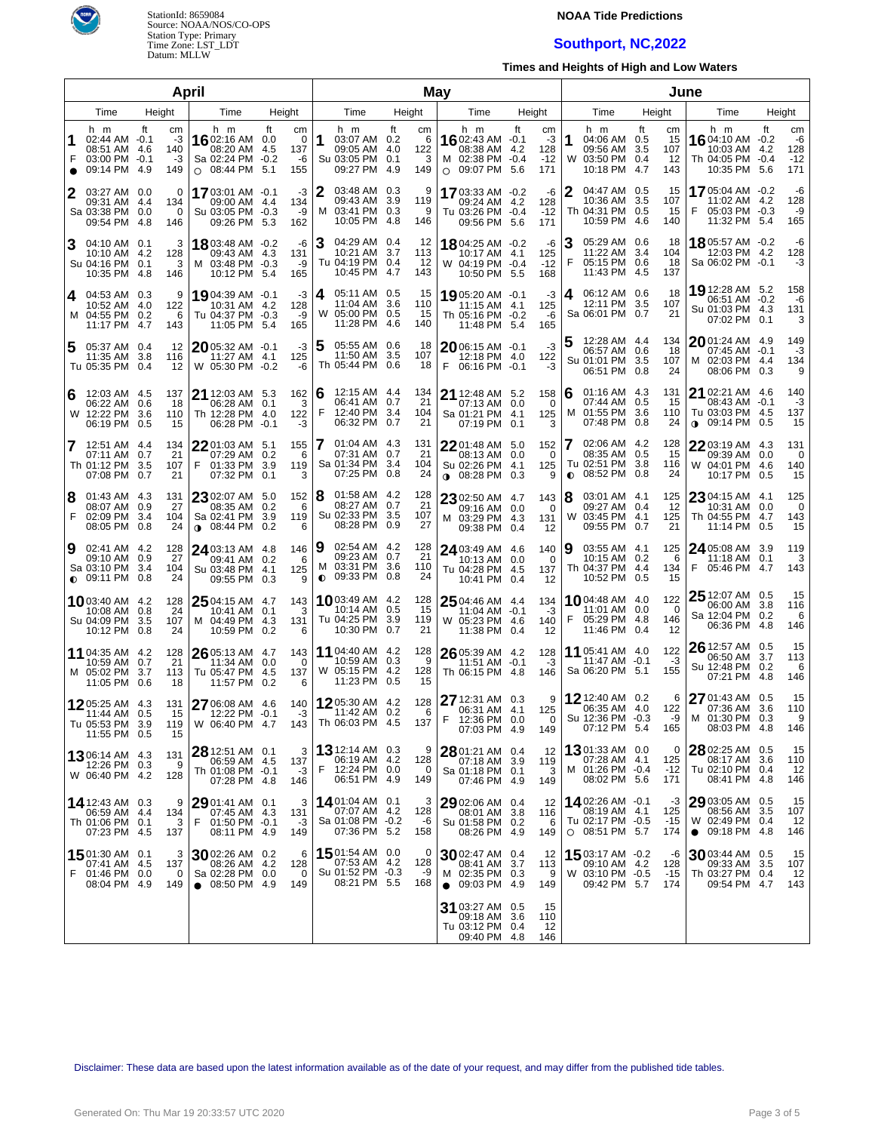

## **NOAA Tide Predictions**

# **Southport, NC,2022**

**Times and Heights of High and Low Waters**

| April          |                                                                           |            |                              |                                                                         |                                   |                             | May                                                                           |     |                                  |                                                                                       |      | June |                                   |           |                                                                             |                  |                               |                                                                                      |                    |                                    |
|----------------|---------------------------------------------------------------------------|------------|------------------------------|-------------------------------------------------------------------------|-----------------------------------|-----------------------------|-------------------------------------------------------------------------------|-----|----------------------------------|---------------------------------------------------------------------------------------|------|------|-----------------------------------|-----------|-----------------------------------------------------------------------------|------------------|-------------------------------|--------------------------------------------------------------------------------------|--------------------|------------------------------------|
| Time<br>Height |                                                                           |            |                              | Time                                                                    | Height                            |                             | Time                                                                          |     | Height                           |                                                                                       | Time |      | Height                            |           | Time                                                                        |                  | Height                        | Time                                                                                 |                    | Height                             |
| $\bullet$      | h m<br>$02:44$ AM $-0.1$<br>08:51 AM 4.6<br>03:00 PM -0.1<br>09:14 PM 4.9 | ft         | cm<br>-3<br>140<br>-3<br>149 | h m<br>1602:16 AM<br>08:20 AM<br>Sa 02:24 PM<br>$O$ 08:44 PM            | ft<br>0.0<br>4.5<br>$-0.2$<br>5.1 | cm<br>0<br>137<br>-6<br>155 | h m<br>1<br>03:07 AM 0.2<br>09:05 AM 4.0<br>Su 03:05 PM 0.1<br>09:27 PM 4.9   |     | ft<br>cm<br>6<br>122<br>3<br>149 | h m<br>16 02:43 AM -0.1<br>08:38 AM 4.2<br>M 02:38 PM -0.4<br>09:07 PM 5.6<br>$\circ$ |      | ft   | cm<br>$-3$<br>128<br>$-12$<br>171 | 1         | h m<br>04:06 AM 0.5<br>09:56 AM<br>W 03:50 PM 0.4<br>10:18 PM               | ft<br>3.5<br>4.7 | cm<br>15<br>107<br>-12<br>143 | h m<br><b>16</b> 04:10 AM $-0.2$<br>10:03 AM 4.2<br>Th 04:05 PM -0.4<br>10:35 PM 5.6 | ft                 | cm<br>-6<br>128<br>$-12$<br>171    |
| 2              | 03:27 AM 0.0<br>09:31 AM<br>Sa 03:38 PM 0.0<br>09:54 PM 4.8               | -4.4       | 0<br>134<br>0<br>146         | 1703:01 AM -0.1<br>09:00 AM<br>Su 03:05 PM -0.3<br>09:26 PM             | 4.4<br>5.3                        | $-3$<br>134<br>-9<br>162    | 2<br>03:48 AM 0.3<br>09:43 AM 3.9<br>03:41 PM 0.3<br>м<br>10:05 PM 4.8        |     | 9<br>119<br>9<br>146             | 1703:33 AM -0.2<br>09:24 AM 4.2<br>Tu 03:26 PM -0.4<br>09:56 PM 5.6                   |      |      | -6<br>128<br>$-12$<br>171         |           | 04:47 AM 0.5<br>10:36 AM<br>Th 04:31 PM 0.5<br>10:59 PM                     | 3.5<br>-4.6      | 15<br>107<br>-15<br>140       | 1705:04 AM -0.2<br>11:02 AM 4.2<br>F<br>05:03 PM -0.3<br>11:32 PM 5.4                |                    | -6<br>128<br>-9<br>165             |
| 3              | 04:10 AM 0.1<br>10:10 AM 4.2<br>Su 04:16 PM 0.1<br>10:35 PM 4.8           |            | 3<br>128<br>3<br>146         | 1803:48 AM -0.2<br>09:43 AM<br>M 03:48 PM -0.3<br>10:12 PM              | 4.3<br>-5.4                       | -6<br>131<br>-9<br>165      | З<br>04:29 AM 0.4<br>10:21 AM 3.7<br>Tu 04:19 PM 0.4<br>10:45 PM 4.7          |     | 12<br>113<br>12<br>143           | 1804:25 AM -0.2<br>10:17 AM 4.1<br>W 04:19 PM -0.4<br>10:50 PM 5.5                    |      |      | -6<br>125<br>$-12$<br>168         | F         | 05:29 AM 0.6<br>11:22 AM 3.4<br>05:15 PM 0.6<br>11:43 PM 4.5                |                  | 18<br>104<br>18<br>137        | 18 05:57 AM -0.2<br>12:03 PM 4.2<br>Sa 06:02 PM -0.1                                 |                    | -6<br>128<br>-3                    |
| 4              | 04:53 AM 0.3<br>10:52 AM 4.0<br>M 04:55 PM 0.2<br>11:17 PM 4.7            |            | 9<br>122<br>6<br>143         | 19 04:39 AM -0.1<br>10:31 AM<br>Tu 04:37 PM -0.3<br>11:05 PM            | 4.2<br>-5.4                       | -3<br>128<br>-9<br>165      | 05:11 AM 0.5<br>4<br>11:04 AM 3.6<br>W 05:00 PM 0.5<br>11:28 PM 4.6           |     | 15<br>110<br>15<br>140           | 19 05:20 AM -0.1<br>11:15 AM 4.1<br>Th 05:16 PM -0.2<br>11:48 PM 5.4                  |      |      | -3<br>125<br>-6<br>165            | 4         | 06:12 AM 0.6<br>12:11 PM 3.5<br>Sa 06:01 PM 0.7                             |                  | 18<br>107<br>21               | 19 12:28 AM 5.2<br>06:51 AM -0.2<br>Su 01:03 PM 4.3<br>07:02 PM 0.1                  |                    | 158<br>-6<br>131<br>3              |
| 5              | 05:37 AM 0.4<br>11:35 AM 3.8<br>Tu 05:35 PM 0.4                           |            | 12<br>116<br>12              | $20$ 05:32 AM -0.1<br>11:27 AM<br>W 05:30 PM -0.2                       | -4.1                              | $-3$<br>125<br>-6           | 5<br>05:55 AM 0.6<br>11:50 AM<br>Th 05:44 PM 0.6                              | 3.5 | 18<br>107<br>18                  | $2006:15$ AM $-0.1$<br>12:18 PM 4.0<br>F 06:16 PM -0.1                                |      |      | -3<br>122<br>-3                   |           | 12:28 AM 4.4<br>06:57 AM 0.6<br>Su 01:01 PM 3.5<br>06:51 PM 0.8             |                  | 134<br>18<br>107<br>24        | $20$ 01:24 AM 4.9<br>07:45 AM -0.1<br>M 02:03 PM 4.4<br>08:06 PM 0.3                 |                    | 149<br>-3<br>134<br>9              |
| 6              | 12:03 AM 4.5<br>06:22 AM 0.6<br>W 12:22 PM 3.6<br>06:19 PM                | 0.5        | 137<br>18<br>110<br>15       | 21 12:03 AM 5.3<br>06:28 AM 0.1<br>Th 12:28 PM 4.0<br>06:28 PM          | $-0.1$                            | 162<br>3<br>122<br>-3       | 12:15 AM 4.4<br>6<br>06:41 AM 0.7<br>F<br>12:40 PM 3.4<br>06:32 PM 0.7        |     | 134<br>21<br>104<br>21           | 21 12:48 AM 5.2<br>Sa 01:21 PM 4.1<br>07:19 PM 0.1                                    |      |      | 158<br>- 0<br>125<br>3            | 6<br>M    | 01:16 AM 4.3<br>07:44 AM 0.5<br>01:55 PM 3.6<br>07:48 PM                    | 0.8              | 131<br>15<br>110<br>24        | 21 02:21 AM 4.6<br>08:43 AM -0.1<br>Tu 03:03 PM 4.5<br>09:14 PM<br>$\bullet$         | 0.5                | 140<br>$-3$<br>137<br>15           |
| 7              | 12:51 AM 4.4<br>07:11 AM 0.7<br>Th 01:12 PM 3.5<br>07:08 PM               | 0.7        | 134<br>21<br>107<br>21       | 2201:03 AM 5.1<br>07:29 AM<br>01:33 PM<br>F<br>07:32 PM                 | 0.2<br>3.9<br>0.1                 | 155<br>6<br>119<br>3        | 01:04 AM 4.3<br>07:31 AM 0.7<br>Sa 01:34 PM 3.4<br>07:25 PM 0.8               |     | 131<br>21<br>104<br>24           | $22$ 01:48 AM 5.0<br>08:13 AM 0.0<br>Su 02:26 PM 4.1<br>$0.08:28$ PM 0.3              |      |      | 152<br>0<br>125<br>9              | $\bullet$ | 02:06 AM 4.2<br>08:35 AM 0.5<br>Tu 02:51 PM 3.8<br>08:52 PM                 | 0.8              | 128<br>15<br>116<br>24        | $2203:19$ AM $4.3$<br>09:39 AM<br>W 04:01 PM<br>10:17 PM                             | 0.0<br>-4.6<br>0.5 | 131<br>$\overline{0}$<br>140<br>15 |
| 8<br>F         | $01:43$ AM $4.3$<br>08:07 AM<br>02:09 PM 3.4<br>08:05 PM                  | 0.9<br>0.8 | 131<br>27<br>104<br>24       | 23 02:07 AM<br>08:35 AM<br>Sa 02:41 PM<br>$0.08:44 \text{ PM}$          | 5.0<br>0.2<br>3.9<br>0.2          | 152<br>6<br>119<br>6        | 8<br>01:58 AM 4.2<br>08:27 AM 0.7<br>Su 02:33 PM 3.5<br>08:28 PM 0.9          |     | 128<br>21<br>107<br>27           | 23 02:50 AM 4.7<br>09:16 AM 0.0<br>M 03:29 PM 4.3<br>09:38 PM 0.4                     |      |      | 143<br>$\mathbf 0$<br>131<br>12   | 18<br>W   | 03:01 AM 4.1<br>09:27 AM 0.4<br>03:45 PM<br>09:55 PM                        | 4.1<br>0.7       | 125<br>12<br>125<br>21        | 23 04:15 AM 4.1<br>10:31 AM<br>Th 04:55 PM<br>11:14 PM                               | 0.0<br>4.7<br>0.5  | 125<br>$\mathbf 0$<br>143<br>15    |
| 9              | 02:41 AM 4.2<br>09:10 AM 0.9<br>Sa 03:10 PM<br>$\bullet$ 09:11 PM 0.8     | 3.4        | 128<br>27<br>104<br>24       | $24$ 03:13 AM 4.8<br>09:41 AM<br>Su 03:48 PM<br>09:55 PM                | 0.2<br>4.1<br>0.3                 | 146<br>6<br>125<br>9        | 9<br>02:54 AM 4.2<br>09:23 AM 0.7<br>M 03:31 PM 3.6<br>$\bullet$ 09:33 PM 0.8 |     | 128<br>21<br>110<br>24           | 24 03:49 AM 4.6<br>10:13 AM 0.0<br>Tu 04:28 PM 4.5<br>10:41 PM 0.4                    |      |      | 140<br>0<br>137<br>12             | 19        | 03:55 AM 4.1<br>10:15 AM 0.2<br>Th 04:37 PM 4.4<br>10:52 PM                 | 0.5              | 125<br>6<br>134<br>15         | 24 05:08 AM 3.9<br>$11:18$ AM 0.1<br>05:46 PM<br>F                                   | 4.7                | 119<br>3<br>143                    |
|                | 1003:40 AM 4.2<br>10:08 AM 0.8<br>Su 04:09 PM<br>10:12 PM 0.8             | 3.5        | 128<br>24<br>107<br>24       | $25$ 04:15 AM 4.7<br>10:41 AM<br>M 04:49 PM<br>10:59 PM                 | 0.1<br>4.3<br>0.2                 | 143<br>3<br>131<br>6        | <b>10</b> 03:49 AM 4.2<br>10:14 AM 0.5<br>Tu 04:25 PM 3.9<br>10:30 PM         | 0.7 | 128<br>15<br>119<br>21           | $2504:46$ AM $4.4$<br>11:04 AM -0.1<br>W 05:23 PM 4.6<br>11:38 PM 0.4                 |      |      | 134<br>-3<br>140<br>12            | F         | 1004:48 AM 4.0<br>11:01 AM 0.0<br>05:29 PM 4.8<br>11:46 PM                  | 0.4              | 122<br>$\Omega$<br>146<br>12  | 25 12:07 AM 0.5<br>06:00 AM 3.8<br>Sa 12:04 PM 0.2<br>06:36 PM 4.8                   |                    | 15<br>116<br>6<br>146              |
|                | 11 04:35 AM 4.2<br>10:59 AM 0.7<br>M 05:02 PM<br>11:05 PM 0.6             | 3.7        | 128<br>21<br>113<br>18       | 26 05:13 AM 4.7<br>11:34 AM<br>Tu 05:47 PM<br>11:57 PM                  | 0.0<br>-4.5<br>0.2                | 143<br>0<br>137<br>6        | <b>11</b> 04:40 AM 4.2<br>10:59 AM 0.3<br>W 05:15 PM 4.2<br>11:23 PM 0.5      |     | 128<br>9<br>128<br>15            | 26 05:39 AM 4.2<br>11:51 AM -0.1<br>Th 06:15 PM 4.8                                   |      |      | 128<br>-3<br>146                  |           | 11 05:41 AM 4.0<br>11:47 AM -0.1<br>Sa 06:20 PM 5.1                         |                  | 122<br>-3<br>155              | $2612:57$ AM 0.5<br>06:50 AM<br>Su 12:48 PM 0.2<br>07:21 PM 4.8                      | 3.7                | 15<br>113<br>6<br>146              |
|                | 12 05:25 AM 4.3<br>11:44 AM<br>Tu 05:53 PM 3.9<br>11:55 PM 0.5            | 0.5        | 131<br>15<br>119<br>15       | 27 06:08 AM 4.6<br>12:22 PM -0.1<br>W 06:40 PM                          | 4.7                               | 140<br>$-3$<br>143          | 12 05:30 AM 4.2<br>11:42 AM 0.2<br>Th 06:03 PM 4.5                            |     | 128<br>6<br>137                  | $2712:31$ AM 0.3<br>06:31 AM 4.1<br>$\mathsf F$<br>12:36 PM 0.0<br>07:03 PM 4.9       |      |      | 9<br>125<br>0<br>149              |           | 12 12:40 AM 0.2<br>06:35 AM 4.0<br>Su 12:36 PM -0.3<br>07:12 PM 5.4         |                  | 6<br>122<br>-9<br>165         | 27 01:43 AM 0.5<br>07:36 AM 3.6<br>M 01:30 PM 0.3<br>08:03 PM 4.8                    |                    | 15<br>110<br>9<br>146              |
|                | <b>13</b> 06:14 AM 4.3<br>12:26 PM 0.3<br>W 06:40 PM 4.2                  |            | 131<br>9<br>128              | $28$ 12:51 AM 0.1<br>06:59 AM 4.5<br>Th 01:08 PM -0.1<br>07:28 PM 4.8   |                                   | 3<br>137<br>-3<br>146       | 13 12:14 AM 0.3<br>06:19 AM 4.2<br>F<br>12:24 PM 0.0<br>06:51 PM 4.9          |     | 9<br>128<br>0<br>149             | 28 01:21 AM 0.4<br>07:18 AM 3.9<br>Sa 01:18 PM 0.1<br>07:46 PM 4.9                    |      |      | 12<br>119<br>3<br>149             |           | <b>13</b> 01:33 AM 0.0<br>07:28 AM 4.1<br>M 01:26 PM -0.4<br>08:02 PM 5.6   |                  | 0<br>125<br>$-12$<br>171      | 28 02:25 AM 0.5<br>08:17 AM 3.6<br>Tu 02:10 PM 0.4<br>08:41 PM 4.8                   |                    | 15<br>110<br>12<br>146             |
|                | <b>14</b> 12:43 AM 0.3<br>06:59 AM 4.4<br>Th 01:06 PM 0.1<br>07:23 PM 4.5 |            | 9<br>134<br>3<br>137         | $29$ 01:41 AM 0.1<br>07:45 AM 4.3<br>F<br>01:50 PM -0.1<br>08:11 PM 4.9 |                                   | 3<br>131<br>-3<br>149       | <b>14</b> 01:04 AM 0.1<br>07:07 AM 4.2<br>Sa 01:08 PM -0.2<br>07:36 PM 5.2    |     | 3<br>128<br>-6<br>158            | 29 02:06 AM 0.4<br>08:01 AM 3.8<br>Su 01:58 PM 0.2<br>08:26 PM 4.9                    |      |      | 12<br>116<br>6<br>149             |           | 1402:26 AM -0.1<br>08:19 AM 4.1<br>Tu 02:17 PM -0.5<br>$\circ$ 08:51 PM 5.7 |                  | -3<br>125<br>$-15$<br>174     | 29 03:05 AM 0.5<br>08:56 AM<br>W 02:49 PM 0.4<br>$\bullet$ 09:18 PM 4.8              | 3.5                | 15<br>107<br>12<br>146             |
|                | 15 01:30 AM 0.1<br>07:41 AM 4.5<br>F 01:46 PM 0.0<br>08:04 PM 4.9         |            | 3<br>137<br>0<br>149         | 3002:26 AM 0.2<br>08:26 AM<br>Sa 02:28 PM<br>$\bullet$ 08:50 PM 4.9     | 4.2<br>0.0                        | 6<br>128<br>0<br>149        | 1501:54 AM 0.0<br>07:53 AM 4.2<br>Su 01:52 PM -0.3<br>08:21 PM 5.5            |     | 0<br>128<br>-9<br>168            | $30$ 02:47 AM 0.4<br>08:41 AM 3.7<br>M 02:35 PM 0.3<br>09:03 PM 4.9<br>$\bullet$      |      |      | 12<br>113<br>9<br>149             |           | <b>15</b> 03:17 AM -0.2<br>09:10 AM 4.2<br>W 03:10 PM -0.5<br>09:42 PM 5.7  |                  | -6<br>128<br>$-15$<br>174     | 30 03:44 AM 0.5<br>09:33 AM<br>Th 03:27 PM 0.4<br>09:54 PM 4.7                       | 3.5                | 15<br>107<br>12<br>143             |
|                |                                                                           |            |                              |                                                                         |                                   |                             |                                                                               |     |                                  | $31$ 03:27 AM 0.5<br>09:18 AM 3.6<br>Tu 03:12 PM 0.4<br>09:40 PM 4.8                  |      |      | 15<br>110<br>12<br>146            |           |                                                                             |                  |                               |                                                                                      |                    |                                    |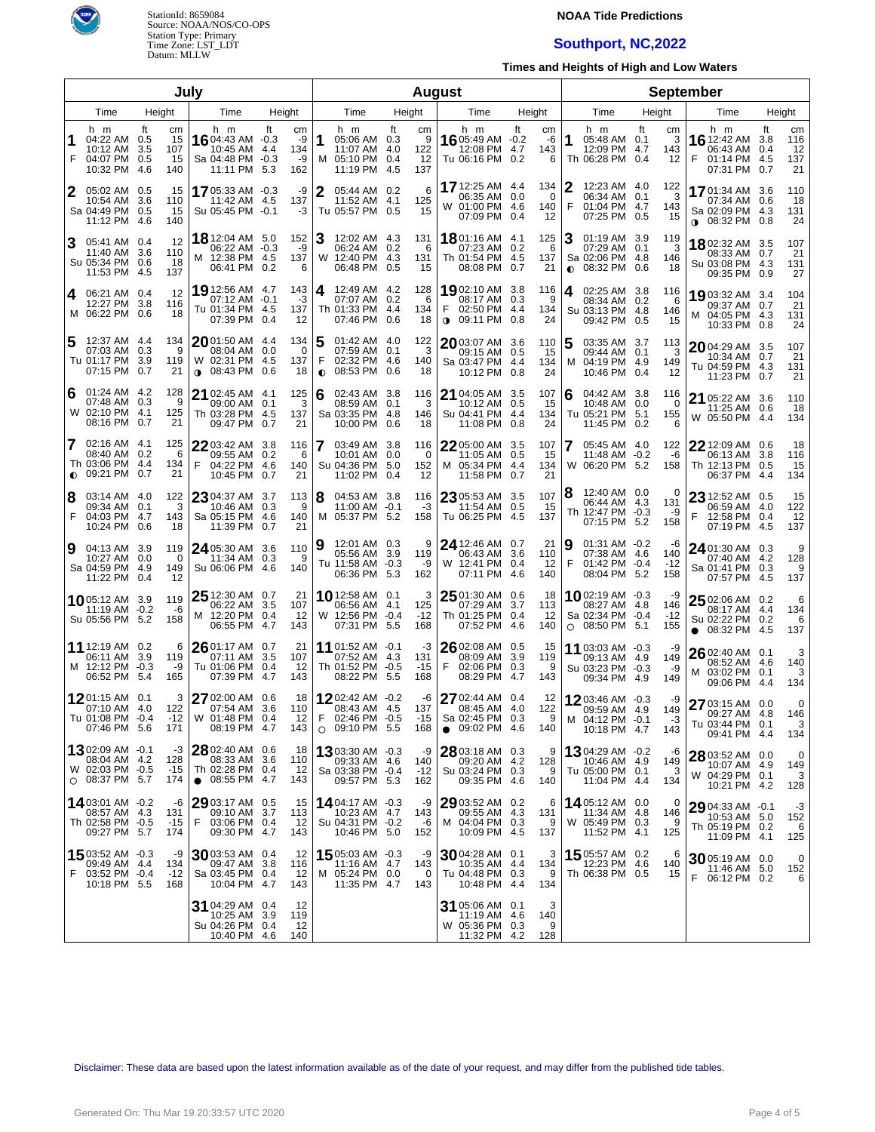

#### **NOAA Tide Predictions**

# **Southport, NC,2022**

**Times and Heights of High and Low Waters**

| July           |                                                                            |    |                              |                                                                         |                            |                              | <b>August</b>                                                                       |     |                             |                                                                                    |                                       |        | <b>September</b>                                                                  |                             |                                                                               |                  |                              |
|----------------|----------------------------------------------------------------------------|----|------------------------------|-------------------------------------------------------------------------|----------------------------|------------------------------|-------------------------------------------------------------------------------------|-----|-----------------------------|------------------------------------------------------------------------------------|---------------------------------------|--------|-----------------------------------------------------------------------------------|-----------------------------|-------------------------------------------------------------------------------|------------------|------------------------------|
|                | Time                                                                       |    | Height                       | Time                                                                    | Height                     |                              | Time                                                                                |     | Height                      | Time                                                                               | Height                                |        | Time                                                                              | Height                      | Time                                                                          |                  | Height                       |
| 1<br>F         | h m<br>04:22 AM 0.5<br>10:12 AM 3.5<br>04:07 PM 0.5<br>10:32 PM 4.6        | ft | cm<br>15<br>107<br>15<br>140 | h m<br>16 04:43 AM -0.3<br>10:45 AM<br>Sa 04:48 PM<br>11:11 PM          | ft<br>4.4<br>$-0.3$<br>5.3 | cm<br>-9<br>134<br>-9<br>162 | h m<br>1<br>05:06 AM 0.3<br>11:07 AM 4.0<br>05:10 PM 0.4<br>м<br>11:19 PM 4.5       | ft  | cm<br>9<br>122<br>12<br>137 | h m<br>1605:49 AM -0.2<br>12:08 PM<br>Tu 06:16 PM 0.2                              | ft<br>сm<br>-6<br>143<br>4.7<br>6     |        | h m<br>1<br>05:48 AM 0.1<br>12:09 PM 4.7<br>Th 06:28 PM 0.4                       | ft<br>cm<br>3<br>143<br>12  | h m<br><b>16</b> 12:42 AM<br>06:43 AM<br>01:14 PM 4.5<br>F<br>07:31 PM 0.7    | ft<br>3.8<br>0.4 | cm<br>116<br>12<br>137<br>21 |
| 2              | 05:02 AM 0.5<br>10:54 AM 3.6<br>Sa 04:49 PM 0.5<br>11:12 PM 4.6            |    | 15<br>110<br>15<br>140       | 1705:33 AM -0.3<br>11:42 AM<br>Su 05:45 PM -0.1                         | - 4.5                      | -9<br>137<br>-3              | 05:44 AM 0.2<br>11:52 AM 4.1<br>Tu 05:57 PM 0.5                                     |     | 6<br>125<br>15              | 17 12:25 AM 4.4<br>06:35 AM 0.0<br>W 01:00 PM 4.6<br>07:09 PM 0.4                  | 134<br>140<br>12                      | 0      | 12:23 AM 4.0<br>06:34 AM 0.1<br>F<br>01:04 PM 4.7<br>07:25 PM 0.5                 | 122<br>3<br>143<br>15       | 1701:34 AM 3.6<br>07:34 AM<br>Sa 02:09 PM 4.3<br>$\bullet$ 08:32 PM 0.8       | 0.6              | 110<br>18<br>131<br>24       |
| з              | 05:41 AM 0.4<br>11:40 AM 3.6<br>Su 05:34 PM 0.6<br>11:53 PM 4.5            |    | 12<br>110<br>18<br>137       | <b>18</b> 12:04 AM<br>06:22 AM<br>M 12:38 PM 4.5<br>06:41 PM            | 5.0<br>$-0.3$<br>0.2       | 152<br>-9<br>137<br>6        | 3<br>12:02 AM 4.3<br>06:24 AM 0.2<br>12:40 PM 4.3<br>W<br>06:48 PM 0.5              |     | 131<br>6<br>131<br>15       | 1801:16 AM<br>07:23 AM<br>Th 01:54 PM 4.5<br>08:08 PM                              | 125<br>4.1<br>0.2<br>137<br>0.7<br>21 | 6      | 01:19 AM 3.9<br>07:29 AM 0.1<br>Sa 02:06 PM 4.8<br>08:32 PM 0.6<br>$\bullet$      | 119<br>3<br>146<br>18       | 1802:32 AM 3.5<br>08:33 AM 0.7<br>Su 03:08 PM 4.3<br>09:35 PM                 | 0.9              | 107<br>21<br>131<br>27       |
| 4              | 06:21 AM 0.4<br>12:27 PM 3.8<br>M 06:22 PM 0.6                             |    | 12<br>116<br>18              | 19 12:56 AM 4.7<br>07:12 AM<br>Tu 01:34 PM 4.5<br>07:39 PM              | $-0.1$<br>0.4              | 143<br>-3<br>137<br>12       | 4<br>12:49 AM 4.2<br>07:07 AM 0.2<br>Th 01:33 PM 4.4<br>07:46 PM 0.6                |     | 128<br>6<br>134<br>18       | 1902:10 AM 3.8<br>08:17 AM 0.3<br>02:50 PM 4.4<br>F<br>09:11 PM 0.8<br>$\mathbf 0$ | 116<br>9<br>134<br>24                 |        | 02:25 AM 3.8<br>4<br>08:34 AM 0.2<br>Su 03:13 PM 4.8<br>09:42 PM 0.5              | 116<br>6<br>146<br>15       | 1903:32 AM 3.4<br>09:37 AM 0.7<br>M 04:05 PM 4.3<br>10:33 PM                  | 0.8              | 104<br>21<br>131<br>24       |
| 5              | 12:37 AM 4.4<br>07:03 AM 0.3<br>Tu 01:17 PM 3.9<br>07:15 PM 0.7            |    | 134<br>9<br>119<br>21        | $20$ 01:50 AM<br>08:04 AM<br>W 02:31 PM<br>08:43 PM<br>$\bullet$        | 4.4<br>0.0<br>4.5<br>0.6   | 134<br>0<br>137<br>18        | 5<br>01:42 AM 4.0<br>07:59 AM 0.1<br>F<br>02:32 PM 4.6<br>08:53 PM<br>$\bullet$     | 0.6 | 122<br>3<br>140<br>18       | 2003:07 AM<br>09:15 AM 0.5<br>Sa 03:47 PM 4.4<br>10:12 PM 0.8                      | 3.6<br>110<br>15<br>134<br>24         |        | 5<br>03:35 AM 3.7<br>09:44 AM 0.1<br>04:19 PM 4.9<br>м<br>10:46 PM 0.4            | 113<br>3<br>149<br>12       | $2004:29$ AM 3.5<br>10:34 AM 0.7<br>Tu 04:59 PM 4.3<br>11:23 PM               | 0.7              | 107<br>21<br>131<br>21       |
| 6              | 01:24 AM 4.2<br>07:48 AM 0.3<br>W 02:10 PM 4.1<br>08:16 PM 0.7             |    | 128<br>9<br>125<br>21        | 21 02:45 AM 4.1<br>09:00 AM 0.1<br>Th 03:28 PM<br>09:47 PM              | 4.5<br>0.7                 | 125<br>-3<br>137<br>21       | 6<br>02:43 AM 3.8<br>08:59 AM 0.1<br>Sa 03:35 PM 4.8<br>10:00 PM 0.6                |     | 116<br>3<br>146<br>18       | 21 04:05 AM<br>10:12 AM<br>Su 04:41 PM 4.4<br>11:08 PM 0.8                         | 107<br>3.5<br>0.5<br>15<br>134<br>24  |        | 04:42 AM 3.8<br>6<br>10:48 AM 0.0<br>Tu 05:21 PM 5.1<br>11:45 PM 0.2              | 116<br>$\Omega$<br>155<br>6 | $2105:22$ AM 3.6<br>11:25 AM 0.6<br>W 05:50 PM 4.4                            |                  | 110<br>18<br>134             |
| 7<br>$\bullet$ | 02:16 AM 4.1<br>08:40 AM 0.2<br>Th 03:06 PM 4.4<br>09:21 PM 0.7            |    | 125<br>6<br>134<br>21        | 2203:42 AM<br>09:55 AM 0.2<br>04:22 PM<br>F.<br>10:45 PM                | 3.8<br>4.6<br>0.7          | 116<br>-6<br>140<br>21       | 7<br>03:49 AM 3.8<br>10:01 AM 0.0<br>Su 04:36 PM 5.0<br>11:02 PM 0.4                |     | 116<br>0<br>152<br>12       | 22 05:00 AM<br>11:05 AM<br>M 05:34 PM 4.4<br>11:58 PM 0.7                          | 107<br>3.5<br>0.5<br>15<br>134<br>21  |        | 05:45 AM 4.0<br>11:48 AM -0.2<br>W 06:20 PM 5.2                                   | 122<br>-6<br>158            | 22 12:09 AM 0.6<br>06:13 AM 3.8<br>Th 12:13 PM 0.5<br>06:37 PM 4.4            |                  | 18<br>116<br>15<br>134       |
| 8<br>F         | 03:14 AM 4.0<br>09:34 AM 0.1<br>04:03 PM 4.7<br>10:24 PM 0.6               |    | 122<br>3<br>143<br>18        | 23 04:37 AM 3.7<br>10:46 AM<br>Sa 05:15 PM<br>11:39 PM                  | 0.3<br>4.6<br>0.7          | 113<br>9<br>140<br>21        | 8<br>04:53 AM 3.8<br>11:00 AM -0.1<br>M 05:37 PM 5.2                                |     | 116<br>-3<br>158            | 23 05:53 AM 3.5<br>11:54 AM<br>Tu 06:25 PM 4.5                                     | 107<br>0.5<br>15<br>137               |        | 12:40 AM 0.0<br>06:44 AM 4.3<br>Th 12:47 PM -0.3<br>07:15 PM 5.2                  | 0<br>131<br>-9<br>158       | 23 12:52 AM 0.5<br>06:59 AM 4.0<br>12:58 PM 0.4<br>F<br>07:19 PM 4.5          |                  | 15<br>122<br>12<br>137       |
| 9              | 04:13 AM 3.9<br>10:27 AM 0.0<br>Sa 04:59 PM 4.9<br>11:22 PM 0.4            |    | 119<br>0<br>149<br>12        | 24 05:30 AM 3.6<br>11:34 AM<br>Su 06:06 PM                              | 0.3<br>4.6                 | 110<br>-9<br>140             | 12:01 AM 0.3<br>05:56 AM 3.9<br>Tu 11:58 AM -0.3<br>06:36 PM 5.3                    |     | 9<br>119<br>-9<br>162       | <b>24</b> 12:46 AM 0.7<br>06:43 AM 3.6<br>W 12:41 PM 0.4<br>07:11 PM               | 21<br>110<br>12<br>-4.6<br>140        |        | 9<br>$01:31$ AM $-0.2$<br>07:38 AM 4.6<br>F<br>01:42 PM -0.4<br>08:04 PM 5.2      | -6<br>140<br>$-12$<br>158   | 24 01:30 AM 0.3<br>07:40 AM 4.2<br>Sa 01:41 PM 0.3<br>07:57 PM 4.5            |                  | 9<br>128<br>9<br>137         |
|                | <b>10</b> 05:12 AM 3.9<br>11:19 AM -0.2<br>Su 05:56 PM 5.2                 |    | 119<br>-6<br>158             | $2512:30$ AM 0.7<br>06:22 AM<br>M 12:20 PM<br>06:55 PM                  | 3.5<br>0.4<br>4.7          | 21<br>107<br>-12<br>143      | <b>10</b> 12:58 AM 0.1<br>06:56 AM 4.1<br>W 12:56 PM -0.4<br>07:31 PM 5.5           |     | 3<br>125<br>$-12$<br>168    | $2501:30$ AM 0.6<br>07:29 AM<br>Th 01:25 PM 0.4<br>07:52 PM 4.6                    | 18<br>3.7<br>113<br>12<br>140         |        | 10 02:19 AM $-0.3$<br>08:27 AM 4.8<br>Sa 02:34 PM -0.4<br>08:50 PM 5.1<br>$\circ$ | -9<br>146<br>$-12$<br>155   | $2502:06$ AM 0.2<br>08:17 AM 4.4<br>Su 02:22 PM 0.2<br>$\bullet$ 08:32 PM 4.5 |                  | 6<br>134<br>6<br>137         |
|                | 11 12:19 AM 0.2<br>06:11 AM 3.9<br>M 12:12 PM -0.3<br>06:52 PM 5.4         |    | 6<br>119<br>-9<br>165        | $2601:17$ AM 0.7<br>07:11 AM<br>Tu 01:06 PM<br>07:39 PM                 | 3.5<br>0.4<br>4.7          | 21<br>107<br>-12<br>143      | 11 01:52 AM -0.1<br>07:52 AM 4.3<br>Th 01:52 PM -0.5<br>08:22 PM 5.5                |     | -3<br>131<br>$-15$<br>168   | $2602:08$ AM 0.5<br>08:09 AM 3.9<br>F<br>02:06 PM 0.3<br>08:29 PM                  | 15<br>119<br>9<br>143<br>4.7          |        | 11 03:03 AM -0.3<br>09:13 AM 4.9<br>Su 03:23 PM -0.3<br>09:34 PM 4.9              | -9<br>149<br>-9<br>149      | $26$ 02:40 AM 0.1<br>08:52 AM 4.6<br>M 03:02 PM 0.1<br>09:06 PM 4.4           |                  | 3<br>140<br>3<br>134         |
|                | $1201:15$ AM 0.1<br>07:10 AM 4.0<br>Tu 01:08 PM -0.4<br>07:46 PM 5.6       |    | 3<br>122<br>-12<br>171       | 27 02:00 AM 0.6<br>07:54 AM<br>W 01:48 PM 0.4<br>08:19 PM 4.7           | 3.6                        | 18<br>110<br>12<br>143       | <b>12</b> 02:42 AM $-0.2$<br>08:43 AM 4.5<br>F<br>02:46 PM -0.5<br>$O$ 09:10 PM 5.5 |     | -6<br>137<br>-15<br>168     | 27 02:44 AM 0.4<br>08:45 AM 4.0<br>Sa 02:45 PM 0.3<br>09:02 PM 4.6<br>$\bullet$    | 12<br>122<br>140                      | 9      | 1203:46 AM -0.3<br>09:59 AM 4.9<br>M 04:12 PM -0.1<br>10:18 PM 4.7                | -9<br>149<br>$-3$<br>143    | 27 03:15 AM 0.0<br>09:27 AM<br>Tu 03:44 PM 0.1<br>09:41 PM 4.4                | 4.8              | 0<br>146<br>3<br>134         |
|                | 1302:09 AM -0.1<br>08:04 AM 4.2<br>W 02:03 PM -0.5<br>$\circ$ 08:37 PM 5.7 |    | -3<br>128<br>$-15$<br>174    | 28 02:40 AM 0.6<br>08:33 AM<br>Th 02:28 PM<br>08:55 PM 4.7<br>$\bullet$ | 3.6<br>0.4                 | 18<br>110<br>12<br>143       | 13 03:30 AM -0.3<br>09:33 AM 4.6<br>Sa 03:38 PM -0.4<br>09:57 PM 5.3                |     | -9<br>140<br>-12<br>162     | 28 03:18 AM 0.3<br>09:20 AM 4.2<br>Su 03:24 PM 0.3<br>09:35 PM 4.6                 | 128<br>9<br>140                       | 9      | 1304:29 AM -0.2<br>10:46 AM 4.9<br>Tu 05:00 PM 0.1<br>11:04 PM 4.4                | -6<br>149<br>3<br>134       | 28 03:52 AM 0.0<br>10:07 AM 4.9<br>W 04:29 PM 0.1<br>10:21 PM 4.2             |                  | 0<br>149<br>3<br>128         |
|                | 1403:01 AM -0.2<br>08:57 AM 4.3<br>Th 02:58 PM -0.5<br>09:27 PM 5.7        |    | -6<br>131<br>-15<br>174      | 29 03:17 AM 0.5<br>09:10 AM<br>F<br>03:06 PM 0.4<br>09:30 PM            | 3.7<br>4.7                 | 15<br>113<br>12<br>143       | 14 04:17 AM -0.3<br>10:23 AM 4.7<br>Su 04:31 PM -0.2<br>10:46 PM 5.0                |     | -9<br>143<br>-6<br>152      | $2903:52$ AM 0.2<br>09:55 AM 4.3<br>M 04:04 PM 0.3<br>10:09 PM 4.5                 | 6<br>131<br>9<br>137                  |        | 1405:12 AM 0.0<br>11:34 AM 4.8<br>W 05:49 PM 0.3<br>11:52 PM 4.1                  | 0<br>146<br>9<br>125        | 29 04:33 AM -0.1<br>10:53 AM 5.0<br>Th 05:19 PM 0.2<br>11:09 PM 4.1           |                  | -3<br>152<br>6<br>125        |
| F              | 1503:52 AM -0.3<br>09:49 AM 4.4<br>03:52 PM -0.4<br>10:18 PM 5.5           |    | -9<br>134<br>$-12$<br>168    | 3003:53 AM 0.4<br>09:47 AM<br>Sa 03:45 PM 0.4<br>10:04 PM               | 3.8<br>4.7                 | 12<br>116<br>12<br>143       | 1505:03 AM -0.3<br>11:16 AM 4.7<br>M 05:24 PM 0.0<br>11:35 PM 4.7                   |     | -9<br>143<br>0<br>143       | 3004:28 AM 0.1<br>10:35 AM 4.4<br>Tu 04:48 PM 0.3<br>10:48 PM 4.4                  | 3<br>134<br>9<br>134                  |        | 1505:57 AM 0.2<br>12:23 PM 4.6<br>Th 06:38 PM 0.5                                 | 6<br>140<br>15              | 30 05:19 AM 0.0<br>11:46 AM 5.0<br>F 06:12 PM 0.2                             |                  | 0<br>152<br>6                |
|                |                                                                            |    |                              | 31 04:29 AM 0.4<br>10:25 AM<br>Su 04:26 PM 0.4<br>10:40 PM              | 3.9<br>4.6                 | 12<br>119<br>12<br>140       |                                                                                     |     |                             | 31 05:06 AM 0.1<br>11:19 AM 4.6<br>W 05:36 PM 0.3<br>11:32 PM 4.2                  | 140<br>128                            | 3<br>9 |                                                                                   |                             |                                                                               |                  |                              |